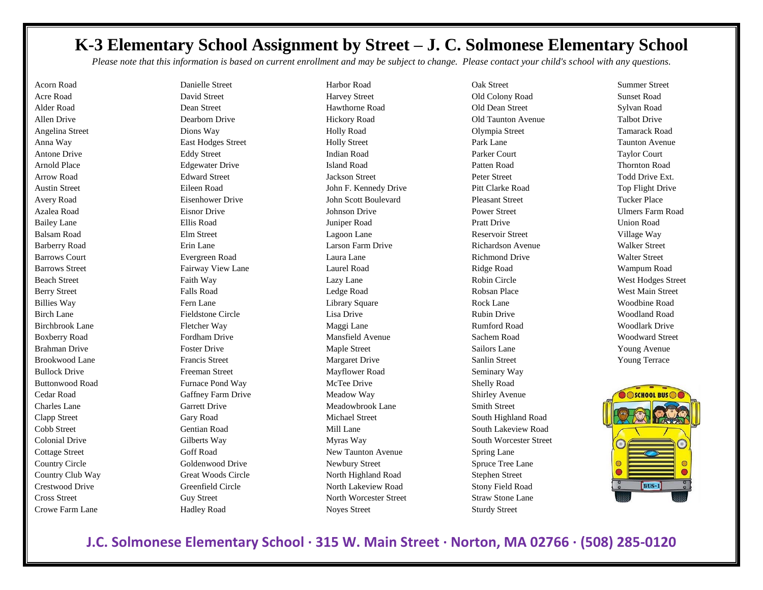## **K-3 Elementary School Assignment by Street – J. C. Solmonese Elementary School**

*Please note that this information is based on current enrollment and may be subject to change. Please contact your child's school with any questions.*

Acorn Road Acre Road Alder Road Allen Drive Angelina Street Anna Way Antone Drive Arnold Place Arrow Road Austin Street Avery Road Azalea Road Bailey Lane Balsam Road Barberry Road Barrows Court Barrows Street Beach Street Berry Street Billies Way Birch Lane Birchbrook Lane Boxberry Road Brahman Drive Brookwood Lane Bullock Drive Buttonwood Road Cedar Road Charles Lane Clapp Street Cobb Street Colonial Drive Cottage Street Country Circle Country Club Way Crestwood Drive Cross Street Crowe Farm Lane

Danielle Street David Street Dean Street Dearborn Drive Dions Way East Hodges Street Eddy Street Edgewater Drive Edward Street Eileen Road Eisenhower Drive Eisnor Drive Ellis Road Elm Street Erin Lane Evergreen Road Fairway View Lane Faith Way Falls Road Fern Lane Fieldstone Circle Fletcher Way Fordham Drive Foster Drive Francis Street Freeman Street Furnace Pond Way Gaffney Farm Drive Garrett Drive Gary Road Gentian Road Gilberts Way Goff Road Goldenwood Drive Great Woods Circle Greenfield Circle Guy Street Hadley Road

Harbor Road Harvey Street Hawthorne Road Hickory Road Holly Road Holly Street Indian Road Island Road Jackson Street John F. Kennedy Drive John Scott Boulevard Johnson Drive Juniper Road Lagoon Lane Larson Farm Drive Laura Lane Laurel Road Lazy Lane Ledge Road Library Square Lisa Drive Maggi Lane Mansfield Avenue Maple Street Margaret Drive Mayflower Road McTee Drive Meadow Way Meadowbrook Lane Michael Street Mill Lane Myras Way New Taunton Avenue Newbury Street North Highland Road North Lakeview Road North Worcester Street Noyes Street

Oak Street Old Colony Road Old Dean Street Old Taunton Avenue Olympia Street Park Lane Parker Court Patten Road Peter Street Pitt Clarke Road Pleasant Street Power Street Pratt Drive Reservoir Street Richardson Avenue Richmond Drive Ridge Road Robin Circle Robsan Place Rock Lane Rubin Drive Rumford Road Sachem Road Sailors Lane Sanlin Street Seminary Way Shelly Road Shirley Avenue Smith Street South Highland Road South Lakeview Road South Worcester Street Spring Lane Spruce Tree Lane Stephen Street Stony Field Road Straw Stone Lane Sturdy Street

Summer Street Sunset Road Sylvan Road Talbot Drive Tamarack Road Taunton Avenue Taylor Court Thornton Road Todd Drive Ext. Top Flight Drive Tucker Place Ulmers Farm Road Union Road Village Way Walker Street Walter Street Wampum Road West Hodges Street West Main Street Woodbine Road Woodland Road Woodlark Drive Woodward Street Young Avenue Young Terrace



**J.C. Solmonese Elementary School · 315 W. Main Street · Norton, MA 02766 · (508) 285-0120**